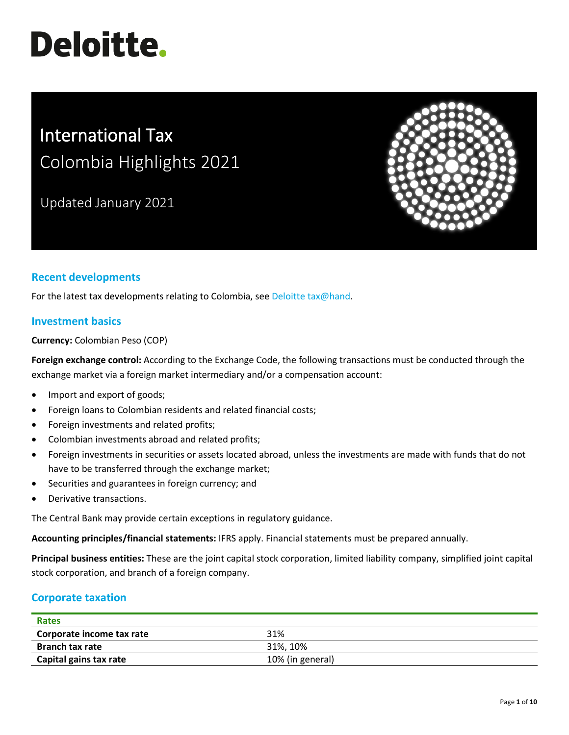# **Deloitte.**

# International Tax Colombia Highlights 2021

Updated January 2021



# **Recent developments**

For the latest tax developments relating to Colombia, se[e Deloitte tax@hand.](https://www.taxathand.com/world-news/Colombia)

# **Investment basics**

**Currency:** Colombian Peso (COP)

**Foreign exchange control:** According to the Exchange Code, the following transactions must be conducted through the exchange market via a foreign market intermediary and/or a compensation account:

- Import and export of goods;
- Foreign loans to Colombian residents and related financial costs;
- Foreign investments and related profits;
- Colombian investments abroad and related profits;
- Foreign investments in securities or assets located abroad, unless the investments are made with funds that do not have to be transferred through the exchange market;
- Securities and guarantees in foreign currency; and
- Derivative transactions.

The Central Bank may provide certain exceptions in regulatory guidance.

**Accounting principles/financial statements:** IFRS apply. Financial statements must be prepared annually.

**Principal business entities:** These are the joint capital stock corporation, limited liability company, simplified joint capital stock corporation, and branch of a foreign company.

# **Corporate taxation**

| Rates                     |                  |
|---------------------------|------------------|
| Corporate income tax rate | 31%              |
| <b>Branch tax rate</b>    | 31%, 10%         |
| Capital gains tax rate    | 10% (in general) |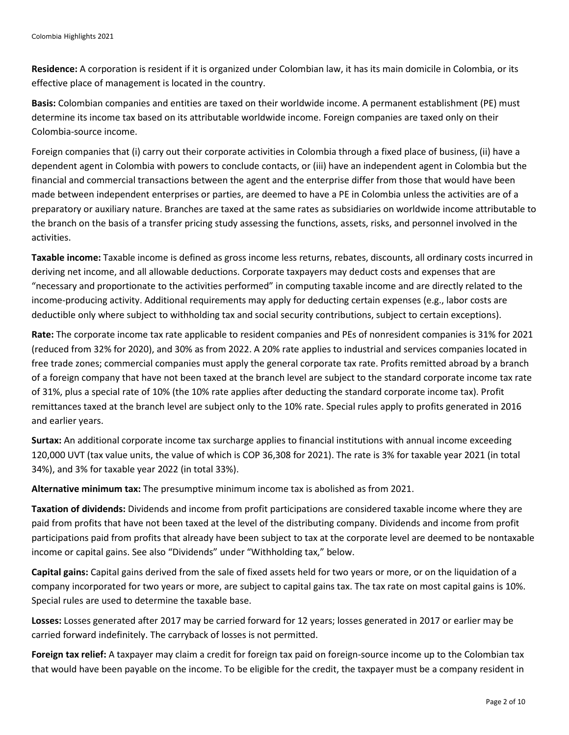**Residence:** A corporation is resident if it is organized under Colombian law, it has its main domicile in Colombia, or its effective place of management is located in the country.

**Basis:** Colombian companies and entities are taxed on their worldwide income. A permanent establishment (PE) must determine its income tax based on its attributable worldwide income. Foreign companies are taxed only on their Colombia-source income.

Foreign companies that (i) carry out their corporate activities in Colombia through a fixed place of business, (ii) have a dependent agent in Colombia with powers to conclude contacts, or (iii) have an independent agent in Colombia but the financial and commercial transactions between the agent and the enterprise differ from those that would have been made between independent enterprises or parties, are deemed to have a PE in Colombia unless the activities are of a preparatory or auxiliary nature. Branches are taxed at the same rates as subsidiaries on worldwide income attributable to the branch on the basis of a transfer pricing study assessing the functions, assets, risks, and personnel involved in the activities.

**Taxable income:** Taxable income is defined as gross income less returns, rebates, discounts, all ordinary costs incurred in deriving net income, and all allowable deductions. Corporate taxpayers may deduct costs and expenses that are "necessary and proportionate to the activities performed" in computing taxable income and are directly related to the income-producing activity. Additional requirements may apply for deducting certain expenses (e.g., labor costs are deductible only where subject to withholding tax and social security contributions, subject to certain exceptions).

**Rate:** The corporate income tax rate applicable to resident companies and PEs of nonresident companies is 31% for 2021 (reduced from 32% for 2020), and 30% as from 2022. A 20% rate applies to industrial and services companies located in free trade zones; commercial companies must apply the general corporate tax rate. Profits remitted abroad by a branch of a foreign company that have not been taxed at the branch level are subject to the standard corporate income tax rate of 31%, plus a special rate of 10% (the 10% rate applies after deducting the standard corporate income tax). Profit remittances taxed at the branch level are subject only to the 10% rate. Special rules apply to profits generated in 2016 and earlier years.

**Surtax:** An additional corporate income tax surcharge applies to financial institutions with annual income exceeding 120,000 UVT (tax value units, the value of which is COP 36,308 for 2021). The rate is 3% for taxable year 2021 (in total 34%), and 3% for taxable year 2022 (in total 33%).

**Alternative minimum tax:** The presumptive minimum income tax is abolished as from 2021.

**Taxation of dividends:** Dividends and income from profit participations are considered taxable income where they are paid from profits that have not been taxed at the level of the distributing company. Dividends and income from profit participations paid from profits that already have been subject to tax at the corporate level are deemed to be nontaxable income or capital gains. See also "Dividends" under "Withholding tax," below.

**Capital gains:** Capital gains derived from the sale of fixed assets held for two years or more, or on the liquidation of a company incorporated for two years or more, are subject to capital gains tax. The tax rate on most capital gains is 10%. Special rules are used to determine the taxable base.

**Losses:** Losses generated after 2017 may be carried forward for 12 years; losses generated in 2017 or earlier may be carried forward indefinitely. The carryback of losses is not permitted.

**Foreign tax relief:** A taxpayer may claim a credit for foreign tax paid on foreign-source income up to the Colombian tax that would have been payable on the income. To be eligible for the credit, the taxpayer must be a company resident in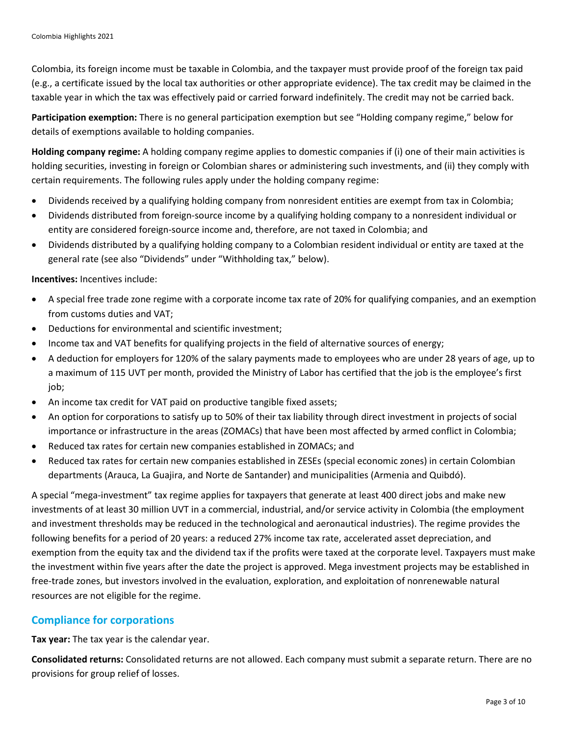Colombia, its foreign income must be taxable in Colombia, and the taxpayer must provide proof of the foreign tax paid (e.g., a certificate issued by the local tax authorities or other appropriate evidence). The tax credit may be claimed in the taxable year in which the tax was effectively paid or carried forward indefinitely. The credit may not be carried back.

**Participation exemption:** There is no general participation exemption but see "Holding company regime," below for details of exemptions available to holding companies.

**Holding company regime:** A holding company regime applies to domestic companies if (i) one of their main activities is holding securities, investing in foreign or Colombian shares or administering such investments, and (ii) they comply with certain requirements. The following rules apply under the holding company regime:

- Dividends received by a qualifying holding company from nonresident entities are exempt from tax in Colombia;
- Dividends distributed from foreign-source income by a qualifying holding company to a nonresident individual or entity are considered foreign-source income and, therefore, are not taxed in Colombia; and
- Dividends distributed by a qualifying holding company to a Colombian resident individual or entity are taxed at the general rate (see also "Dividends" under "Withholding tax," below).

**Incentives:** Incentives include:

- A special free trade zone regime with a corporate income tax rate of 20% for qualifying companies, and an exemption from customs duties and VAT;
- Deductions for environmental and scientific investment;
- Income tax and VAT benefits for qualifying projects in the field of alternative sources of energy;
- A deduction for employers for 120% of the salary payments made to employees who are under 28 years of age, up to a maximum of 115 UVT per month, provided the Ministry of Labor has certified that the job is the employee's first job;
- An income tax credit for VAT paid on productive tangible fixed assets;
- An option for corporations to satisfy up to 50% of their tax liability through direct investment in projects of social importance or infrastructure in the areas (ZOMACs) that have been most affected by armed conflict in Colombia;
- Reduced tax rates for certain new companies established in ZOMACs; and
- Reduced tax rates for certain new companies established in ZESEs (special economic zones) in certain Colombian departments (Arauca, La Guajira, and Norte de Santander) and municipalities (Armenia and Quibdó).

A special "mega-investment" tax regime applies for taxpayers that generate at least 400 direct jobs and make new investments of at least 30 million UVT in a commercial, industrial, and/or service activity in Colombia (the employment and investment thresholds may be reduced in the technological and aeronautical industries). The regime provides the following benefits for a period of 20 years: a reduced 27% income tax rate, accelerated asset depreciation, and exemption from the equity tax and the dividend tax if the profits were taxed at the corporate level. Taxpayers must make the investment within five years after the date the project is approved. Mega investment projects may be established in free-trade zones, but investors involved in the evaluation, exploration, and exploitation of nonrenewable natural resources are not eligible for the regime.

# **Compliance for corporations**

**Tax year:** The tax year is the calendar year.

**Consolidated returns:** Consolidated returns are not allowed. Each company must submit a separate return. There are no provisions for group relief of losses.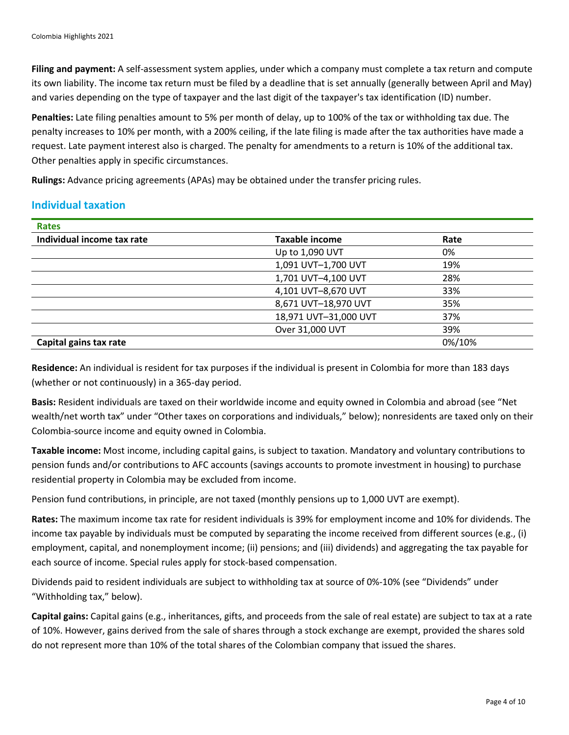**Filing and payment:** A self-assessment system applies, under which a company must complete a tax return and compute its own liability. The income tax return must be filed by a deadline that is set annually (generally between April and May) and varies depending on the type of taxpayer and the last digit of the taxpayer's tax identification (ID) number.

**Penalties:** Late filing penalties amount to 5% per month of delay, up to 100% of the tax or withholding tax due. The penalty increases to 10% per month, with a 200% ceiling, if the late filing is made after the tax authorities have made a request. Late payment interest also is charged. The penalty for amendments to a return is 10% of the additional tax. Other penalties apply in specific circumstances.

**Rulings:** Advance pricing agreements (APAs) may be obtained under the transfer pricing rules.

# **Individual taxation**

| <b>Rates</b>               |                       |        |
|----------------------------|-----------------------|--------|
| Individual income tax rate | <b>Taxable income</b> | Rate   |
|                            | Up to 1,090 UVT       | 0%     |
|                            | 1,091 UVT-1,700 UVT   | 19%    |
|                            | 1,701 UVT-4,100 UVT   | 28%    |
|                            | 4,101 UVT-8,670 UVT   | 33%    |
|                            | 8,671 UVT-18,970 UVT  | 35%    |
|                            | 18,971 UVT-31,000 UVT | 37%    |
|                            | Over 31,000 UVT       | 39%    |
| Capital gains tax rate     |                       | 0%/10% |

**Residence:** An individual is resident for tax purposes if the individual is present in Colombia for more than 183 days (whether or not continuously) in a 365-day period.

**Basis:** Resident individuals are taxed on their worldwide income and equity owned in Colombia and abroad (see "Net wealth/net worth tax" under "Other taxes on corporations and individuals," below); nonresidents are taxed only on their Colombia-source income and equity owned in Colombia.

**Taxable income:** Most income, including capital gains, is subject to taxation. Mandatory and voluntary contributions to pension funds and/or contributions to AFC accounts (savings accounts to promote investment in housing) to purchase residential property in Colombia may be excluded from income.

Pension fund contributions, in principle, are not taxed (monthly pensions up to 1,000 UVT are exempt).

**Rates:** The maximum income tax rate for resident individuals is 39% for employment income and 10% for dividends. The income tax payable by individuals must be computed by separating the income received from different sources (e.g., (i) employment, capital, and nonemployment income; (ii) pensions; and (iii) dividends) and aggregating the tax payable for each source of income. Special rules apply for stock-based compensation.

Dividends paid to resident individuals are subject to withholding tax at source of 0%-10% (see "Dividends" under "Withholding tax," below).

**Capital gains:** Capital gains (e.g., inheritances, gifts, and proceeds from the sale of real estate) are subject to tax at a rate of 10%. However, gains derived from the sale of shares through a stock exchange are exempt, provided the shares sold do not represent more than 10% of the total shares of the Colombian company that issued the shares.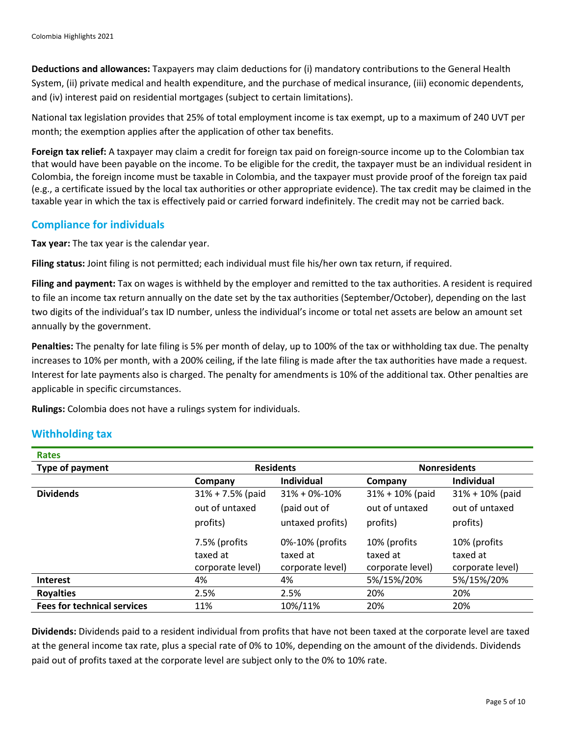**Deductions and allowances:** Taxpayers may claim deductions for (i) mandatory contributions to the General Health System, (ii) private medical and health expenditure, and the purchase of medical insurance, (iii) economic dependents, and (iv) interest paid on residential mortgages (subject to certain limitations).

National tax legislation provides that 25% of total employment income is tax exempt, up to a maximum of 240 UVT per month; the exemption applies after the application of other tax benefits.

**Foreign tax relief:** A taxpayer may claim a credit for foreign tax paid on foreign-source income up to the Colombian tax that would have been payable on the income. To be eligible for the credit, the taxpayer must be an individual resident in Colombia, the foreign income must be taxable in Colombia, and the taxpayer must provide proof of the foreign tax paid (e.g., a certificate issued by the local tax authorities or other appropriate evidence). The tax credit may be claimed in the taxable year in which the tax is effectively paid or carried forward indefinitely. The credit may not be carried back.

# **Compliance for individuals**

**Tax year:** The tax year is the calendar year.

**Filing status:** Joint filing is not permitted; each individual must file his/her own tax return, if required.

**Filing and payment:** Tax on wages is withheld by the employer and remitted to the tax authorities. A resident is required to file an income tax return annually on the date set by the tax authorities (September/October), depending on the last two digits of the individual's tax ID number, unless the individual's income or total net assets are below an amount set annually by the government.

**Penalties:** The penalty for late filing is 5% per month of delay, up to 100% of the tax or withholding tax due. The penalty increases to 10% per month, with a 200% ceiling, if the late filing is made after the tax authorities have made a request. Interest for late payments also is charged. The penalty for amendments is 10% of the additional tax. Other penalties are applicable in specific circumstances.

**Rulings:** Colombia does not have a rulings system for individuals.

# **Withholding tax**

| <b>Rates</b>                       |                      |                     |                     |                     |
|------------------------------------|----------------------|---------------------|---------------------|---------------------|
| Type of payment                    | <b>Residents</b>     |                     | <b>Nonresidents</b> |                     |
|                                    | Company              | <b>Individual</b>   | Company             | <b>Individual</b>   |
| <b>Dividends</b>                   | $31\% + 7.5\%$ (paid | $31\% + 0\% - 10\%$ | $31\% + 10\%$ (paid | $31\% + 10\%$ (paid |
|                                    | out of untaxed       | (paid out of        | out of untaxed      | out of untaxed      |
|                                    | profits)             | untaxed profits)    | profits)            | profits)            |
|                                    | 7.5% (profits        | 0%-10% (profits     | 10% (profits        | 10% (profits        |
|                                    | taxed at             | taxed at            | taxed at            | taxed at            |
|                                    | corporate level)     | corporate level)    | corporate level)    | corporate level)    |
| <b>Interest</b>                    | 4%                   | 4%                  | 5%/15%/20%          | 5%/15%/20%          |
| <b>Royalties</b>                   | 2.5%                 | 2.5%                | 20%                 | 20%                 |
| <b>Fees for technical services</b> | 11%                  | 10%/11%             | 20%                 | 20%                 |

**Dividends:** Dividends paid to a resident individual from profits that have not been taxed at the corporate level are taxed at the general income tax rate, plus a special rate of 0% to 10%, depending on the amount of the dividends. Dividends paid out of profits taxed at the corporate level are subject only to the 0% to 10% rate.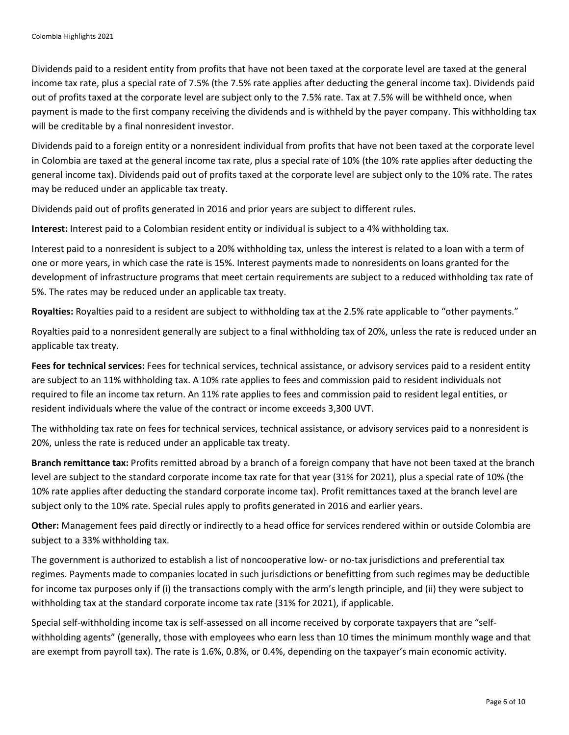Dividends paid to a resident entity from profits that have not been taxed at the corporate level are taxed at the general income tax rate, plus a special rate of 7.5% (the 7.5% rate applies after deducting the general income tax). Dividends paid out of profits taxed at the corporate level are subject only to the 7.5% rate. Tax at 7.5% will be withheld once, when payment is made to the first company receiving the dividends and is withheld by the payer company. This withholding tax will be creditable by a final nonresident investor.

Dividends paid to a foreign entity or a nonresident individual from profits that have not been taxed at the corporate level in Colombia are taxed at the general income tax rate, plus a special rate of 10% (the 10% rate applies after deducting the general income tax). Dividends paid out of profits taxed at the corporate level are subject only to the 10% rate. The rates may be reduced under an applicable tax treaty.

Dividends paid out of profits generated in 2016 and prior years are subject to different rules.

**Interest:** Interest paid to a Colombian resident entity or individual is subject to a 4% withholding tax.

Interest paid to a nonresident is subject to a 20% withholding tax, unless the interest is related to a loan with a term of one or more years, in which case the rate is 15%. Interest payments made to nonresidents on loans granted for the development of infrastructure programs that meet certain requirements are subject to a reduced withholding tax rate of 5%. The rates may be reduced under an applicable tax treaty.

**Royalties:** Royalties paid to a resident are subject to withholding tax at the 2.5% rate applicable to "other payments."

Royalties paid to a nonresident generally are subject to a final withholding tax of 20%, unless the rate is reduced under an applicable tax treaty.

**Fees for technical services:** Fees for technical services, technical assistance, or advisory services paid to a resident entity are subject to an 11% withholding tax. A 10% rate applies to fees and commission paid to resident individuals not required to file an income tax return. An 11% rate applies to fees and commission paid to resident legal entities, or resident individuals where the value of the contract or income exceeds 3,300 UVT.

The withholding tax rate on fees for technical services, technical assistance, or advisory services paid to a nonresident is 20%, unless the rate is reduced under an applicable tax treaty.

**Branch remittance tax:** Profits remitted abroad by a branch of a foreign company that have not been taxed at the branch level are subject to the standard corporate income tax rate for that year (31% for 2021), plus a special rate of 10% (the 10% rate applies after deducting the standard corporate income tax). Profit remittances taxed at the branch level are subject only to the 10% rate. Special rules apply to profits generated in 2016 and earlier years.

**Other:** Management fees paid directly or indirectly to a head office for services rendered within or outside Colombia are subject to a 33% withholding tax.

The government is authorized to establish a list of noncooperative low- or no-tax jurisdictions and preferential tax regimes. Payments made to companies located in such jurisdictions or benefitting from such regimes may be deductible for income tax purposes only if (i) the transactions comply with the arm's length principle, and (ii) they were subject to withholding tax at the standard corporate income tax rate (31% for 2021), if applicable.

Special self-withholding income tax is self-assessed on all income received by corporate taxpayers that are "selfwithholding agents" (generally, those with employees who earn less than 10 times the minimum monthly wage and that are exempt from payroll tax). The rate is 1.6%, 0.8%, or 0.4%, depending on the taxpayer's main economic activity.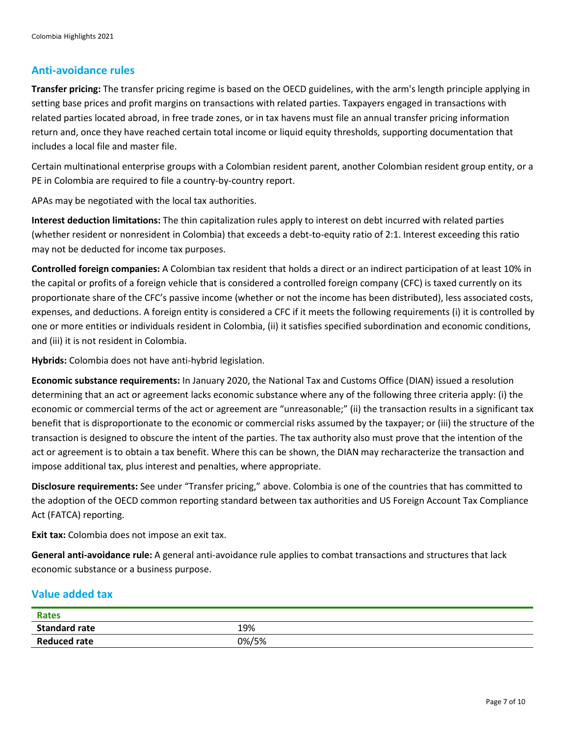## **Anti-avoidance rules**

**Transfer pricing:** The transfer pricing regime is based on the OECD guidelines, with the arm's length principle applying in setting base prices and profit margins on transactions with related parties. Taxpayers engaged in transactions with related parties located abroad, in free trade zones, or in tax havens must file an annual transfer pricing information return and, once they have reached certain total income or liquid equity thresholds, supporting documentation that includes a local file and master file.

Certain multinational enterprise groups with a Colombian resident parent, another Colombian resident group entity, or a PE in Colombia are required to file a country-by-country report.

APAs may be negotiated with the local tax authorities.

**Interest deduction limitations:** The thin capitalization rules apply to interest on debt incurred with related parties (whether resident or nonresident in Colombia) that exceeds a debt-to-equity ratio of 2:1. Interest exceeding this ratio may not be deducted for income tax purposes.

**Controlled foreign companies:** A Colombian tax resident that holds a direct or an indirect participation of at least 10% in the capital or profits of a foreign vehicle that is considered a controlled foreign company (CFC) is taxed currently on its proportionate share of the CFC's passive income (whether or not the income has been distributed), less associated costs, expenses, and deductions. A foreign entity is considered a CFC if it meets the following requirements (i) it is controlled by one or more entities or individuals resident in Colombia, (ii) it satisfies specified subordination and economic conditions, and (iii) it is not resident in Colombia.

**Hybrids:** Colombia does not have anti-hybrid legislation.

**Economic substance requirements:** In January 2020, the National Tax and Customs Office (DIAN) issued a resolution determining that an act or agreement lacks economic substance where any of the following three criteria apply: (i) the economic or commercial terms of the act or agreement are "unreasonable;" (ii) the transaction results in a significant tax benefit that is disproportionate to the economic or commercial risks assumed by the taxpayer; or (iii) the structure of the transaction is designed to obscure the intent of the parties. The tax authority also must prove that the intention of the act or agreement is to obtain a tax benefit. Where this can be shown, the DIAN may recharacterize the transaction and impose additional tax, plus interest and penalties, where appropriate.

**Disclosure requirements:** See under "Transfer pricing," above. Colombia is one of the countries that has committed to the adoption of the OECD common reporting standard between tax authorities and US Foreign Account Tax Compliance Act (FATCA) reporting.

**Exit tax:** Colombia does not impose an exit tax.

**General anti-avoidance rule:** A general anti-avoidance rule applies to combat transactions and structures that lack economic substance or a business purpose.

#### **Value added tax**

| <b>Rates</b>         |       |
|----------------------|-------|
| <b>Standard rate</b> | 19%   |
| Reduced rate         | 0%/5% |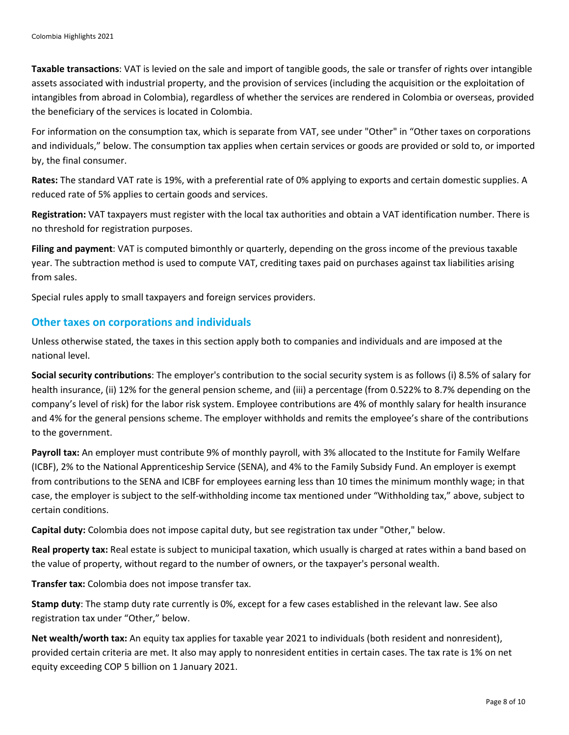**Taxable transactions**: VAT is levied on the sale and import of tangible goods, the sale or transfer of rights over intangible assets associated with industrial property, and the provision of services (including the acquisition or the exploitation of intangibles from abroad in Colombia), regardless of whether the services are rendered in Colombia or overseas, provided the beneficiary of the services is located in Colombia.

For information on the consumption tax, which is separate from VAT, see under "Other" in "Other taxes on corporations and individuals," below. The consumption tax applies when certain services or goods are provided or sold to, or imported by, the final consumer.

**Rates:** The standard VAT rate is 19%, with a preferential rate of 0% applying to exports and certain domestic supplies. A reduced rate of 5% applies to certain goods and services.

**Registration:** VAT taxpayers must register with the local tax authorities and obtain a VAT identification number. There is no threshold for registration purposes.

**Filing and payment**: VAT is computed bimonthly or quarterly, depending on the gross income of the previous taxable year. The subtraction method is used to compute VAT, crediting taxes paid on purchases against tax liabilities arising from sales.

Special rules apply to small taxpayers and foreign services providers.

### **Other taxes on corporations and individuals**

Unless otherwise stated, the taxes in this section apply both to companies and individuals and are imposed at the national level.

**Social security contributions**: The employer's contribution to the social security system is as follows (i) 8.5% of salary for health insurance, (ii) 12% for the general pension scheme, and (iii) a percentage (from 0.522% to 8.7% depending on the company's level of risk) for the labor risk system. Employee contributions are 4% of monthly salary for health insurance and 4% for the general pensions scheme. The employer withholds and remits the employee's share of the contributions to the government.

**Payroll tax:** An employer must contribute 9% of monthly payroll, with 3% allocated to the Institute for Family Welfare (ICBF), 2% to the National Apprenticeship Service (SENA), and 4% to the Family Subsidy Fund. An employer is exempt from contributions to the SENA and ICBF for employees earning less than 10 times the minimum monthly wage; in that case, the employer is subject to the self-withholding income tax mentioned under "Withholding tax," above, subject to certain conditions.

**Capital duty:** Colombia does not impose capital duty, but see registration tax under "Other," below.

**Real property tax:** Real estate is subject to municipal taxation, which usually is charged at rates within a band based on the value of property, without regard to the number of owners, or the taxpayer's personal wealth.

**Transfer tax:** Colombia does not impose transfer tax.

**Stamp duty**: The stamp duty rate currently is 0%, except for a few cases established in the relevant law. See also registration tax under "Other," below.

**Net wealth/worth tax:** An equity tax applies for taxable year 2021 to individuals (both resident and nonresident), provided certain criteria are met. It also may apply to nonresident entities in certain cases. The tax rate is 1% on net equity exceeding COP 5 billion on 1 January 2021.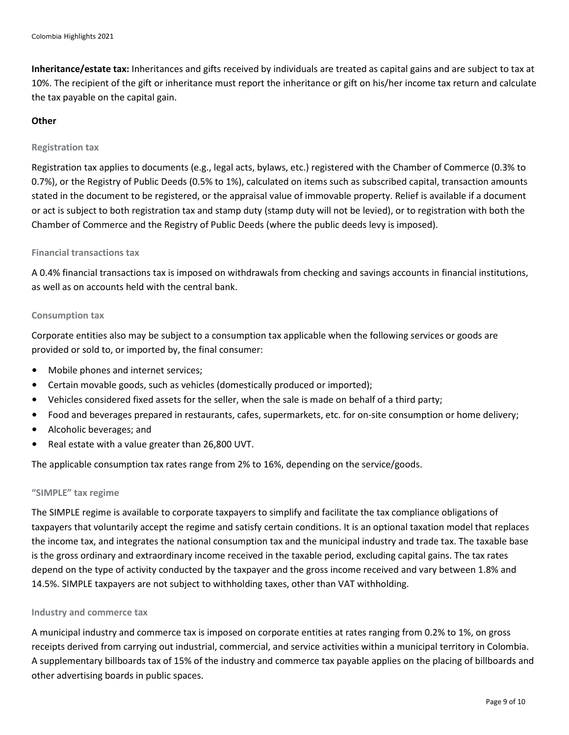**Inheritance/estate tax:** Inheritances and gifts received by individuals are treated as capital gains and are subject to tax at 10%. The recipient of the gift or inheritance must report the inheritance or gift on his/her income tax return and calculate the tax payable on the capital gain.

#### **Other**

#### **Registration tax**

Registration tax applies to documents (e.g., legal acts, bylaws, etc.) registered with the Chamber of Commerce (0.3% to 0.7%), or the Registry of Public Deeds (0.5% to 1%), calculated on items such as subscribed capital, transaction amounts stated in the document to be registered, or the appraisal value of immovable property. Relief is available if a document or act is subject to both registration tax and stamp duty (stamp duty will not be levied), or to registration with both the Chamber of Commerce and the Registry of Public Deeds (where the public deeds levy is imposed).

#### **Financial transactions tax**

A 0.4% financial transactions tax is imposed on withdrawals from checking and savings accounts in financial institutions, as well as on accounts held with the central bank.

#### **Consumption tax**

Corporate entities also may be subject to a consumption tax applicable when the following services or goods are provided or sold to, or imported by, the final consumer:

- Mobile phones and internet services;
- Certain movable goods, such as vehicles (domestically produced or imported);
- Vehicles considered fixed assets for the seller, when the sale is made on behalf of a third party;
- Food and beverages prepared in restaurants, cafes, supermarkets, etc. for on-site consumption or home delivery;
- Alcoholic beverages; and
- Real estate with a value greater than 26,800 UVT.

The applicable consumption tax rates range from 2% to 16%, depending on the service/goods.

#### **"SIMPLE" tax regime**

The SIMPLE regime is available to corporate taxpayers to simplify and facilitate the tax compliance obligations of taxpayers that voluntarily accept the regime and satisfy certain conditions. It is an optional taxation model that replaces the income tax, and integrates the national consumption tax and the municipal industry and trade tax. The taxable base is the gross ordinary and extraordinary income received in the taxable period, excluding capital gains. The tax rates depend on the type of activity conducted by the taxpayer and the gross income received and vary between 1.8% and 14.5%. SIMPLE taxpayers are not subject to withholding taxes, other than VAT withholding.

#### **Industry and commerce tax**

A municipal industry and commerce tax is imposed on corporate entities at rates ranging from 0.2% to 1%, on gross receipts derived from carrying out industrial, commercial, and service activities within a municipal territory in Colombia. A supplementary billboards tax of 15% of the industry and commerce tax payable applies on the placing of billboards and other advertising boards in public spaces.